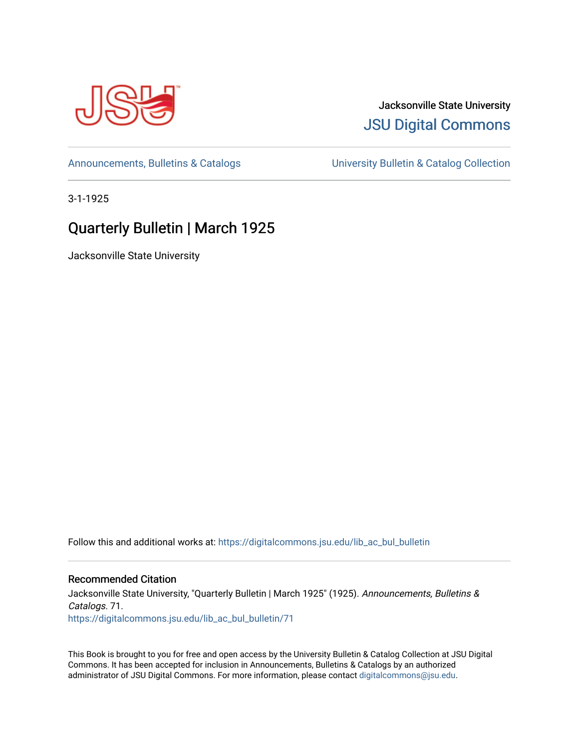

## Jacksonville State University [JSU Digital Commons](https://digitalcommons.jsu.edu/)

[Announcements, Bulletins & Catalogs](https://digitalcommons.jsu.edu/lib_ac_bul_bulletin) [University Bulletin & Catalog Collection](https://digitalcommons.jsu.edu/lib_ac_bulletin) 

3-1-1925

# Quarterly Bulletin | March 1925

Jacksonville State University

Follow this and additional works at: [https://digitalcommons.jsu.edu/lib\\_ac\\_bul\\_bulletin](https://digitalcommons.jsu.edu/lib_ac_bul_bulletin?utm_source=digitalcommons.jsu.edu%2Flib_ac_bul_bulletin%2F71&utm_medium=PDF&utm_campaign=PDFCoverPages) 

## Recommended Citation

Jacksonville State University, "Quarterly Bulletin | March 1925" (1925). Announcements, Bulletins & Catalogs. 71. [https://digitalcommons.jsu.edu/lib\\_ac\\_bul\\_bulletin/71](https://digitalcommons.jsu.edu/lib_ac_bul_bulletin/71?utm_source=digitalcommons.jsu.edu%2Flib_ac_bul_bulletin%2F71&utm_medium=PDF&utm_campaign=PDFCoverPages)

This Book is brought to you for free and open access by the University Bulletin & Catalog Collection at JSU Digital Commons. It has been accepted for inclusion in Announcements, Bulletins & Catalogs by an authorized administrator of JSU Digital Commons. For more information, please contact [digitalcommons@jsu.edu.](mailto:digitalcommons@jsu.edu)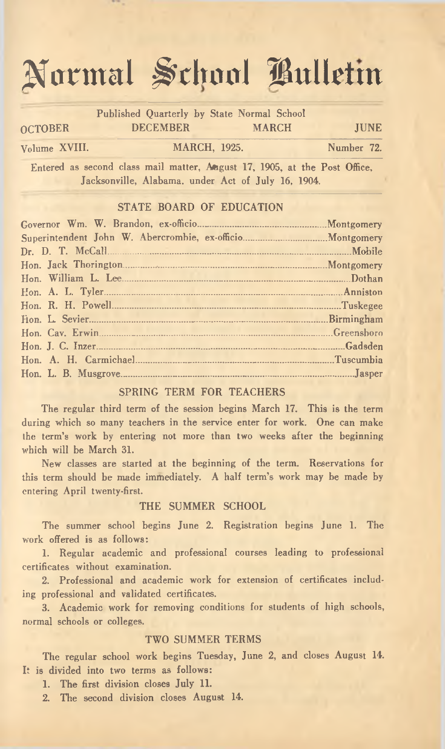# **Normal School Bulletin**

|                |                 | Published Quarterly by State Normal School                                                                                      |  |  |  |  |  |
|----------------|-----------------|---------------------------------------------------------------------------------------------------------------------------------|--|--|--|--|--|
| <b>OCTOBER</b> | <b>DECEMBER</b> | <b>MARCH</b>                                                                                                                    |  |  |  |  |  |
| Volume XVIII.  |                 | <b>MARCH, 1925.</b>                                                                                                             |  |  |  |  |  |
|                |                 | Entered as second class mail matter, August 17, 1905, at the Post Office,<br>Jacksonville, Alabama, under Act of July 16, 1904. |  |  |  |  |  |

#### STATE BOARD OF EDUCATION

|  |  | Montgomery |
|--|--|------------|
|  |  |            |
|  |  |            |
|  |  |            |
|  |  |            |
|  |  |            |
|  |  |            |
|  |  |            |
|  |  | Greenshoro |
|  |  |            |
|  |  |            |
|  |  |            |
|  |  |            |

#### SPRING TERM FOR TEACHERS

The regular third term of the session begins March 17. This is the term during which so many teachers in the service enter for work. One can make the term's work by entering not more than two weeks after the beginning which will be March 31.

New classes are started at the beginning of the term. Reservations for this term should be made immediately. A half term's work may be made by entering April twenty-first.

#### THE SUMMER SCHOOL

The summer school begins June 2. Registration begins June 1. The work offered is as follows:

1. Regular academic and professional courses leading to professional certificates without examination.

2. Professional and academic work for extension of certificates including professional and validated certificates.

3. Academic work for removing conditions for students of high schools, normal schools or colleges.

#### TWO SUMMER TERMS

The regular school work begins Tuesday, June 2, and closes August 14. It is divided into two terms as follows:

1. The first division closes July 11.

2. The second division closes August 14.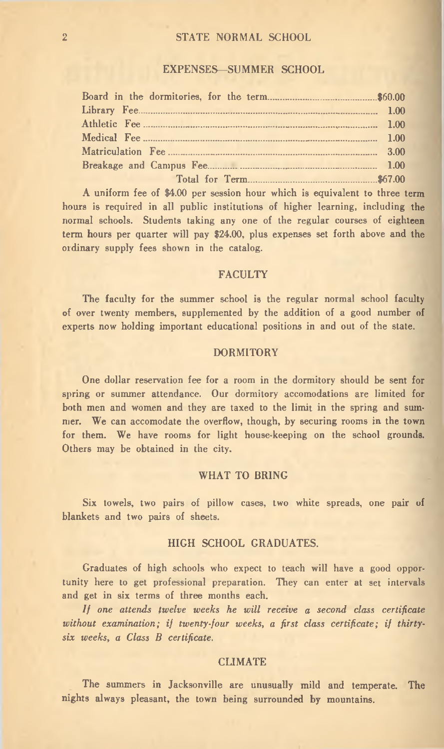#### 2 STATE NORMAL SCHOOL

#### EXPENSES— SUMMER SCHOOL

A uniform fee of \$4.00 per session hour which is equivalent to three term hours is required in all public institutions of higher learning, including the normal schools. Students taking any one of the regular courses of eighteen term hours per quarter will pay \$24.00, plus expenses set forth above and the ordinary supply fees shown in the catalog.

#### FACULTY

The faculty for the summer school is the regular normal school faculty of over twenty members, supplemented by the addition of a good number of experts now holding important educational positions in and out of the state.

#### DORMITORY

One dollar reservation fee for a room in the dormitory should be sent for spring or summer attendance. Our dormitory accomodations are limited for both men and women and they are taxed to the limit in the spring and summer. We can accomodate the overflow, though, by securing rooms in the town for them. We have rooms for light house-keeping on the school grounds. Others may be obtained in the city.

#### WHAT TO BRING

Six towels, two pairs of pillow cases, two white spreads, one pair of blankets and two pairs of sheets.

#### HIGH SCHOOL GRADUATES.

Graduates of high schools who expect to teach will have a good opportunity here to get professional preparation. They can enter at set intervals and get in six terms of three months each.

*If one attends twelve weeks he will receive a second class certificate* without examination; if twenty-four weeks, a first class certificate; if thirty*six weeks, a Class B certificate.*

#### **CLIMATE**

The summers in Jacksonville are unusually mild and temperate. The nights always pleasant, the town being surrounded by mountains.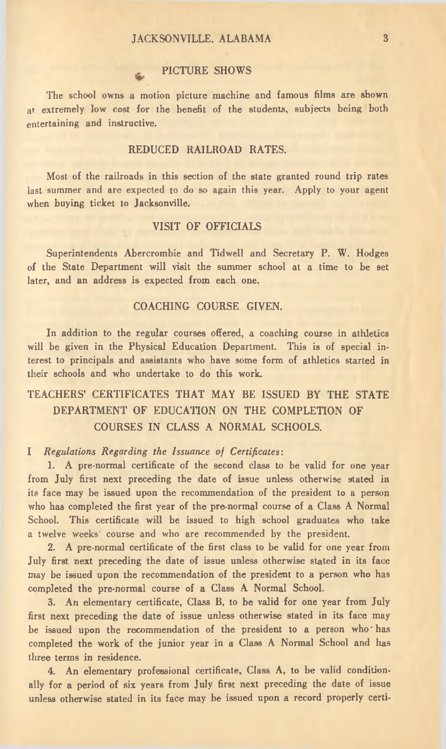#### JACKSONVILLE, ALABAMA 3

#### PICTURE SHOWS

The school owns a motion picture machine and famous films are shown at extremely low cost for the benefit of the students, subjects being both entertaining and instructive.

#### REDUCED RAILROAD RATES.

Most of the railroads in this section of the state granted round trip rates last summer and are expected to do so again this year. Apply to your agent when buying ticket to Jacksonville.

#### VISIT OF OFFICIALS

Superintendents Abercrombie and Tidwell and Secretary P. W. Hodges of the State Department will visit the summer school at a time to be set later, and an address is expected from each one.

#### COACHING COURSE GIVEN.

In addition to the regular courses offered, a coaching course in athletics will be given in the Physical Education Department. This is of special interest to principals and assistants who have some form of athletics started in their schools and who undertake to do this work.

### TEACHERS' CERTIFICATES THAT MAY BE ISSUED BY THE STATE DEPARTMENT OF EDUCATION ON THE COMPLETION OF COURSES IN CLASS A NORMAL SCHOOLS.

#### **I** *Regulations Regarding the Issuance of Certificates:*

1. A pre-normal certificate of the second class to be valid for one year from July first next preceding the date of issue unless otherwise stated in its face may be issued upon the recommendation of the president to a person who has completed the first year of the pre-normal course of a Class A Normal School. This certificate will be issued to high school graduates who take a twelve weeks' course and who are recommended by the president.

2. A pre-normal certificate of the first class to be valid for one year from July first next preceding the date of issue unless otherwise stated in its face may be issued upon the recommendation of the president to a person who has completed the pre-normal course of a Class A Normal School.

3. An elementary certificate, Class B, to be valid for one year from July first next preceding the date of issue unless otherwise stated in its face may be issued upon the recommendation of the president to a person who has completed the work of the junior year in a Class A Normal School and has three terms in residence.

4. An elementary professional certificate, Class A, to be valid conditionally for a period of six years from July first next preceding the date of issue unless otherwise stated in its face may be issued upon a record properly certi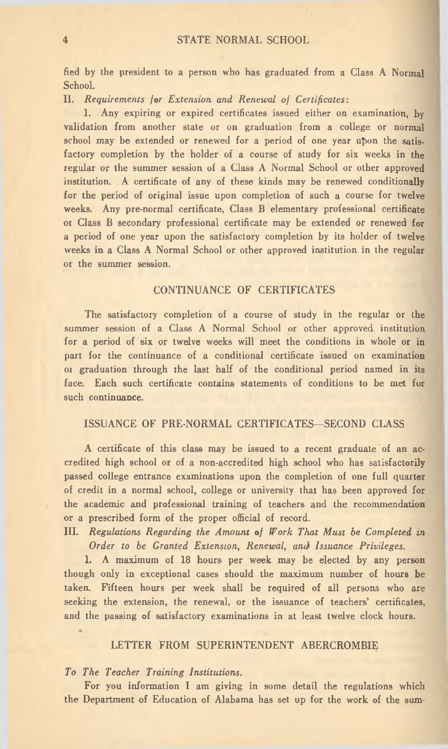fied by the president to a person who has graduated from a Class A Normal School.

II. *Requirements for Extension and Renewal of Certificates:*

1. Any expiring or expired certificates issued either on examination, by validation from another state or on graduation from a college or normal school may be extended or renewed for a period of one year upon the satisfactory completion by the holder of a course of study for six weeks in the regular or the summer session of a Class A Normal School or other approved institution. A certificate of any of these kinds may be renewed conditionally for the period of original issue upon completion of such a course for twelve weeks. Any pre-normal certificate, Class B elementary professional certificate or Class B secondary professional certificate may be extended or renewed for a period of one year upon the satisfactory completion by its holder of twelve weeks in a Class A Normal School or other approved institution in the regular or the summer session.

#### CONTINUANCE OF CERTIFICATES

The satisfactory completion of a course of study in the regular or the summer session of a Class A Normal School or other approved institution for a period of six or twelve weeks will meet the conditions in whole or in part for the continuance of a conditional certificate issued on examination of graduation through the last half of the conditional period named in its face. Each such certificate contains statements of conditions to be met for such continuance.

#### ISSUANCE OF PRE-NORMAL CERTIFICATES— SECOND CLASS

A certificate of this class may be issued to a recent graduate of an accredited high school or of a non-accredited high school who has satisfactorily passed college entrance examinations upon the completion of one full quarter of credit in a normal school, college or university that has been approved for the academic and professional training of teachers and the recommendation or a prescribed form of the proper official of record.

III. *Regulations Regarding the Amount of Work That Must be Completed in Order to be Granted Extension, Renewal, and Issuance Privileges.*

1. A maximum of 18 hours per week may be elected by any person though only in exceptional cases should the maximum number of hours be taken. Fifteen hours per week shall be required of all persons who are seeking the extension, the renewal, or the issuance of teachers' certificates, and the passing of satisfactory examinations in at least twelve clock hours.

#### LETTER FROM SUPERINTENDENT ABERCROMBIE

#### *To The Teacher Training Institutions.*

For you information I am giving in some detail the regulations which the Department of Education of Alabama has set up for the work of the sum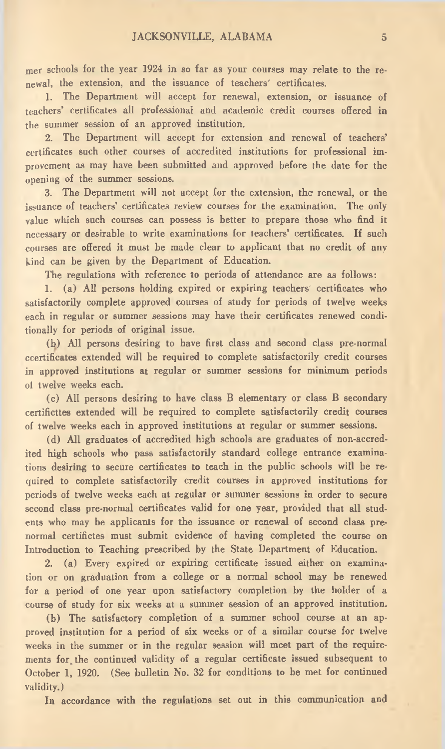mer schools for the year 1924 in so far as your courses may relate to the renewal, the extension, and the issuance of teachers' certificates.

1. The Department will accept for renewal, extension, or issuance of teachers' certificates all professional and academic credit courses offered in the summer session of an approved institution.

2. The Department will accept for extension and renewal of teachers' certificates such other courses of accredited institutions for professional improvement as may have been submitted and approved before the date for the opening of the summer sessions.

3. The Department will not accept for the extension, the renewal, or the issuance of teachers' certificates review courses for the examination. The only value which such courses can possess is better to prepare those who find it necessary or desirable to write examinations for teachers' certificates. If such courses are offered it must be made clear to applicant that no credit of any kind can be given by the Department of Education.

The regulations with reference to periods of attendance are as follows:

1. (a) All persons holding expired or expiring teachers' certificates who satisfactorily complete approved courses of study for periods of twelve weeks each in regular or summer sessions may have their certificates renewed conditionally for periods of original issue.

(b) All persons desiring to have first class and second class pre-normal certificates extended will be required to complete satisfactorily credit courses in approved institutions at regular or summer sessions for minimum periods of twelve weeks each.

(c) All persons desiring to have class B elementary or class B secondary certificttes extended will be required to complete satisfactorily credit courses of twelve weeks each in approved institutions at regular or summer sessions.

(d) All graduates of accredited high schools are graduates of non-accredited high schools who pass satisfactorily standard college entrance examinations desiring to secure certificates to teach in the public schools will be required to complete satisfactorily credit courses in approved institutions for periods of twelve weeks each at regular or summer sessions in order to secure second class pre-normal certificates valid for one year, provided that all students who may be applicants for the issuance or renewal of second class prenormal certifictes must submit evidence of having completed the course on Introduction to Teaching prescribed by the State Department of Education.

2. (a) Every expired or expiring certificate issued either on examination or on graduation from a college or a normal school may be renewed for a period of one year upon satisfactory completion by the holder of a course of study for six weeks at a summer session of an approved institution.

(b) The satisfactory completion of a summer school course at an approved institution for a period of six weeks or of a similar course for twelve weeks in the summer or in the regular session will meet part of the requirements for the continued validity of a regular certificate issued subsequent to October 1, 1920. (See bulletin No. 32 for conditions to be met for continued validity.)

In accordance with the regulations set out in this communication and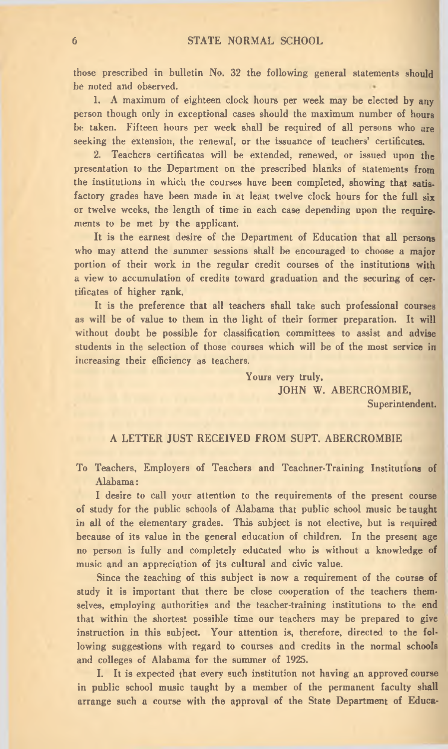those prescribed in bulletin No. 32 the following general statements should be noted and observed.

1. A maximum of eighteen clock hours per week may be elected by any person though only in exceptional cases should the maximum number of hours be taken. Fifteen hours per week shall be required of all persons who are seeking the extension, the renewal, or the issuance of teachers' certificates.

2. Teachers certificates will be extended, renewed, or issued upon the presentation to the Department on the prescribed blanks of statements from the institutions in which the courses have been completed, showing that satisfactory grades have been made in at least twelve clock hours for the full six or twelve weeks, the length of time in each case depending upon the requirements to be met by the applicant.

It is the earnest desire of the Department of Education that all persons who may attend the summer sessions shall be encouraged to choose a major portion of their work in the regular credit courses of the institutions with a view to accumulation of credits toward graduation and the securing of certificates of higher rank.

It is the preference that all teachers shall take such professional courses as will be of value to them in the light of their former preparation. It will without doubt be possible for classification committees to assist and advise students in the selection of those courses which will be of the most service in increasing their efficiency as teachers.

> Yours very truly, JOHN W. ABERCROMBIE,

Superintendent.

#### A LETTER JUST RECEIVED FROM SUPT. ABERCROMBIE

To Teachers, Employers of Teachers and Teachner-Training Institutions of Alabama:

I desire to call your attention to the requirements of the present course of study for the public schools of Alabama that public school music be taught in all of the elementary grades. This subject is not elective, but is required because of its value in the general education of children. In the present age no person is fully and completely educated who is without a knowledge of music and an appreciation of its cultural and civic value.

Since the teaching of this subject is now a requirement of the course of study it is important that there be close cooperation of the teachers themselves, employing authorities and the teacher-training institutions to the end that within the shortest possible time our teachers may be prepared to give instruction in this subject. Your attention is, therefore, directed to the following suggestions with regard to courses and credits in the normal schools and colleges of Alabama for the summer of 1925.

I. It is expected that every such institution not having an approved course in public school music taught by a member of the permanent faculty shall arrange such a course with the approval of the State Department of Educa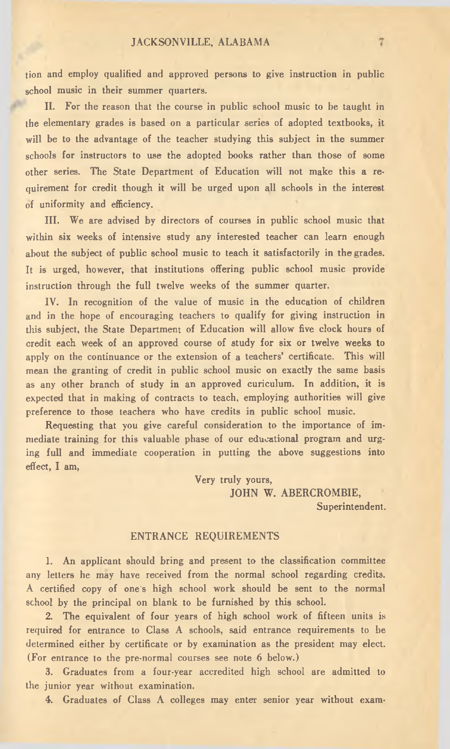#### JACKSONVILLE, ALABAMA

tion and employ qualified and approved persons to give instruction in public school music in their summer quarters.

II. For the reason that the course in public school music to be taught in the elementary grades is based on a particular series of adopted textbooks, it will be to the advantage of the teacher studying this subject in the summer schools for instructors to use the adopted books rather than those of some other series. The State Department of Education will not make this a requirement for credit though it will be urged upon all schools in the interest of uniformity and efficiency.

III. We are advised by directors of courses in public school music that within six weeks of intensive study any interested teacher can learn enough about the subject of public school music to teach it satisfactorily in the grades. It is urged, however, that institutions offering public school music provide instruction through the full twelve weeks of the summer quarter.

IV. In recognition of the value of music in the education of children and in the hope of encouraging teachers to qualify for giving instruction in this subject, the State Department of Education will allow five clock hours of credit each week of an approved course of study for six or twelve weeks to apply on the continuance or the extension of a teachers' certificate. This will mean the granting of credit in public school music on exactly the same basis as any other branch of study in an approved curriculum. In addition, it is expected that in making of contracts to teach, employing authorities will give preference to those teachers who have credits in public school music.

Requesting that you give careful consideration to the importance of immediate training for this valuable phase of our educational program and urging full and immediate cooperation in putting the above suggestions into effect, I am,

Very truly yours,

JOHN W. ABERCROMBIE,

Superintendent.

#### ENTRANCE REQUIREMENTS

1. An applicant should bring and present to the classification committee any letters he may have received from the normal school regarding credits. A certified copy of one's high school work should be sent to the normal school by the principal on blank to be furnished by this school.

2. The equivalent of four years of high school work of fifteen units is required for entrance to Class A schools, said entrance requirements to be determined either by certificate or by examination as the president may elect. (For entrance to the pre-normal courses see note 6 below.)

3. Graduates from a four-year accredited high school are admitted to the junior year without examination.

4. Graduates of Class A colleges may enter senior year without exam